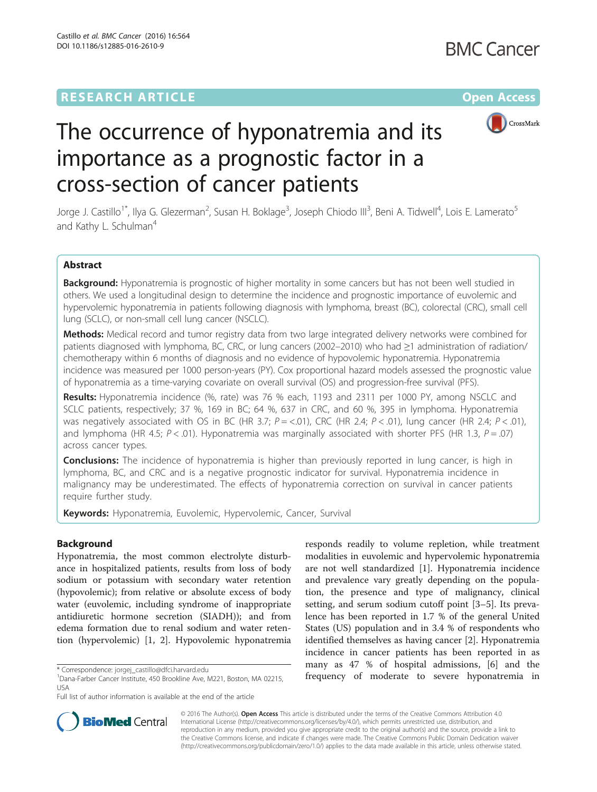# **RESEARCH ARTICLE External Structure Community Community Community Community Community Community Community Community**



# The occurrence of hyponatremia and its importance as a prognostic factor in a cross-section of cancer patients

Jorge J. Castillo<sup>1\*</sup>, Ilya G. Glezerman<sup>2</sup>, Susan H. Boklage<sup>3</sup>, Joseph Chiodo III<sup>3</sup>, Beni A. Tidwell<sup>4</sup>, Lois E. Lamerato<sup>5</sup> and Kathy L. Schulman<sup>4</sup>

### Abstract

Background: Hyponatremia is prognostic of higher mortality in some cancers but has not been well studied in others. We used a longitudinal design to determine the incidence and prognostic importance of euvolemic and hypervolemic hyponatremia in patients following diagnosis with lymphoma, breast (BC), colorectal (CRC), small cell lung (SCLC), or non-small cell lung cancer (NSCLC).

Methods: Medical record and tumor registry data from two large integrated delivery networks were combined for patients diagnosed with lymphoma, BC, CRC, or lung cancers (2002–2010) who had ≥1 administration of radiation/ chemotherapy within 6 months of diagnosis and no evidence of hypovolemic hyponatremia. Hyponatremia incidence was measured per 1000 person-years (PY). Cox proportional hazard models assessed the prognostic value of hyponatremia as a time-varying covariate on overall survival (OS) and progression-free survival (PFS).

Results: Hyponatremia incidence (%, rate) was 76 % each, 1193 and 2311 per 1000 PY, among NSCLC and SCLC patients, respectively; 37 %, 169 in BC; 64 %, 637 in CRC, and 60 %, 395 in lymphoma. Hyponatremia was negatively associated with OS in BC (HR 3.7;  $P = 0.01$ ), CRC (HR 2.4;  $P < 0.01$ ), lung cancer (HR 2.4;  $P < 0.01$ ), and lymphoma (HR 4.5;  $P < .01$ ). Hyponatremia was marginally associated with shorter PFS (HR 1.3,  $P = .07$ ) across cancer types.

**Conclusions:** The incidence of hyponatremia is higher than previously reported in lung cancer, is high in lymphoma, BC, and CRC and is a negative prognostic indicator for survival. Hyponatremia incidence in malignancy may be underestimated. The effects of hyponatremia correction on survival in cancer patients require further study.

Keywords: Hyponatremia, Euvolemic, Hypervolemic, Cancer, Survival

### Background

Hyponatremia, the most common electrolyte disturbance in hospitalized patients, results from loss of body sodium or potassium with secondary water retention (hypovolemic); from relative or absolute excess of body water (euvolemic, including syndrome of inappropriate antidiuretic hormone secretion (SIADH)); and from edema formation due to renal sodium and water retention (hypervolemic) [[1, 2\]](#page-7-0). Hypovolemic hyponatremia

responds readily to volume repletion, while treatment modalities in euvolemic and hypervolemic hyponatremia are not well standardized [\[1](#page-7-0)]. Hyponatremia incidence and prevalence vary greatly depending on the population, the presence and type of malignancy, clinical setting, and serum sodium cutoff point [\[3](#page-7-0)–[5](#page-7-0)]. Its prevalence has been reported in 1.7 % of the general United States (US) population and in 3.4 % of respondents who identified themselves as having cancer [[2\]](#page-7-0). Hyponatremia incidence in cancer patients has been reported in as many as 47 % of hospital admissions, [\[6](#page-7-0)] and the \* Correspondence: [jorgej\\_castillo@dfci.harvard.edu](mailto:jorgej_castillo@dfci.harvard.edu) **and the severe hyponatremia** in the to severe hyponatremia in <sup>1</sup>Dana-Farber Cancer Institute, 450 Brookline Ave, M221, Boston, MA 02215, **frequency of moderate to severe** 



© 2016 The Author(s). Open Access This article is distributed under the terms of the Creative Commons Attribution 4.0 International License [\(http://creativecommons.org/licenses/by/4.0/](http://creativecommons.org/licenses/by/4.0/)), which permits unrestricted use, distribution, and reproduction in any medium, provided you give appropriate credit to the original author(s) and the source, provide a link to the Creative Commons license, and indicate if changes were made. The Creative Commons Public Domain Dedication waiver [\(http://creativecommons.org/publicdomain/zero/1.0/](http://creativecommons.org/publicdomain/zero/1.0/)) applies to the data made available in this article, unless otherwise stated.

<sup>&</sup>lt;sup>1</sup>Dana-Farber Cancer Institute, 450 Brookline Ave, M221, Boston, MA 02215, USA

Full list of author information is available at the end of the article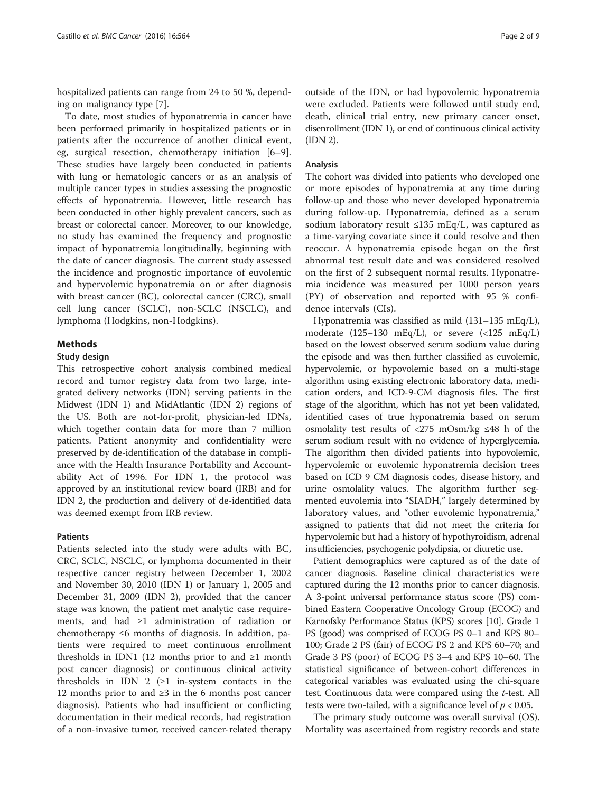hospitalized patients can range from 24 to 50 %, depending on malignancy type [\[7](#page-7-0)].

To date, most studies of hyponatremia in cancer have been performed primarily in hospitalized patients or in patients after the occurrence of another clinical event, eg, surgical resection, chemotherapy initiation [\[6](#page-7-0)–[9](#page-7-0)]. These studies have largely been conducted in patients with lung or hematologic cancers or as an analysis of multiple cancer types in studies assessing the prognostic effects of hyponatremia. However, little research has been conducted in other highly prevalent cancers, such as breast or colorectal cancer. Moreover, to our knowledge, no study has examined the frequency and prognostic impact of hyponatremia longitudinally, beginning with the date of cancer diagnosis. The current study assessed the incidence and prognostic importance of euvolemic and hypervolemic hyponatremia on or after diagnosis with breast cancer (BC), colorectal cancer (CRC), small cell lung cancer (SCLC), non-SCLC (NSCLC), and lymphoma (Hodgkins, non-Hodgkins).

#### Methods

#### Study design

This retrospective cohort analysis combined medical record and tumor registry data from two large, integrated delivery networks (IDN) serving patients in the Midwest (IDN 1) and MidAtlantic (IDN 2) regions of the US. Both are not-for-profit, physician-led IDNs, which together contain data for more than 7 million patients. Patient anonymity and confidentiality were preserved by de-identification of the database in compliance with the Health Insurance Portability and Accountability Act of 1996. For IDN 1, the protocol was approved by an institutional review board (IRB) and for IDN 2, the production and delivery of de-identified data was deemed exempt from IRB review.

#### Patients

Patients selected into the study were adults with BC, CRC, SCLC, NSCLC, or lymphoma documented in their respective cancer registry between December 1, 2002 and November 30, 2010 (IDN 1) or January 1, 2005 and December 31, 2009 (IDN 2), provided that the cancer stage was known, the patient met analytic case requirements, and had ≥1 administration of radiation or chemotherapy ≤6 months of diagnosis. In addition, patients were required to meet continuous enrollment thresholds in IDN1 (12 months prior to and  $\geq 1$  month post cancer diagnosis) or continuous clinical activity thresholds in IDN 2 ( $\geq$ 1 in-system contacts in the 12 months prior to and ≥3 in the 6 months post cancer diagnosis). Patients who had insufficient or conflicting documentation in their medical records, had registration of a non-invasive tumor, received cancer-related therapy outside of the IDN, or had hypovolemic hyponatremia were excluded. Patients were followed until study end, death, clinical trial entry, new primary cancer onset, disenrollment (IDN 1), or end of continuous clinical activity (IDN 2).

#### Analysis

The cohort was divided into patients who developed one or more episodes of hyponatremia at any time during follow-up and those who never developed hyponatremia during follow-up. Hyponatremia, defined as a serum sodium laboratory result ≤135 mEq/L, was captured as a time-varying covariate since it could resolve and then reoccur. A hyponatremia episode began on the first abnormal test result date and was considered resolved on the first of 2 subsequent normal results. Hyponatremia incidence was measured per 1000 person years (PY) of observation and reported with 95 % confidence intervals (CIs).

Hyponatremia was classified as mild (131–135 mEq/L), moderate (125–130 mEq/L), or severe (<125 mEq/L) based on the lowest observed serum sodium value during the episode and was then further classified as euvolemic, hypervolemic, or hypovolemic based on a multi-stage algorithm using existing electronic laboratory data, medication orders, and ICD-9-CM diagnosis files. The first stage of the algorithm, which has not yet been validated, identified cases of true hyponatremia based on serum osmolality test results of <275 mOsm/kg ≤48 h of the serum sodium result with no evidence of hyperglycemia. The algorithm then divided patients into hypovolemic, hypervolemic or euvolemic hyponatremia decision trees based on ICD 9 CM diagnosis codes, disease history, and urine osmolality values. The algorithm further segmented euvolemia into "SIADH," largely determined by laboratory values, and "other euvolemic hyponatremia," assigned to patients that did not meet the criteria for hypervolemic but had a history of hypothyroidism, adrenal insufficiencies, psychogenic polydipsia, or diuretic use.

Patient demographics were captured as of the date of cancer diagnosis. Baseline clinical characteristics were captured during the 12 months prior to cancer diagnosis. A 3-point universal performance status score (PS) combined Eastern Cooperative Oncology Group (ECOG) and Karnofsky Performance Status (KPS) scores [[10](#page-7-0)]. Grade 1 PS (good) was comprised of ECOG PS 0–1 and KPS 80– 100; Grade 2 PS (fair) of ECOG PS 2 and KPS 60–70; and Grade 3 PS (poor) of ECOG PS 3–4 and KPS 10–60. The statistical significance of between-cohort differences in categorical variables was evaluated using the chi-square test. Continuous data were compared using the *t*-test. All tests were two-tailed, with a significance level of  $p < 0.05$ .

The primary study outcome was overall survival (OS). Mortality was ascertained from registry records and state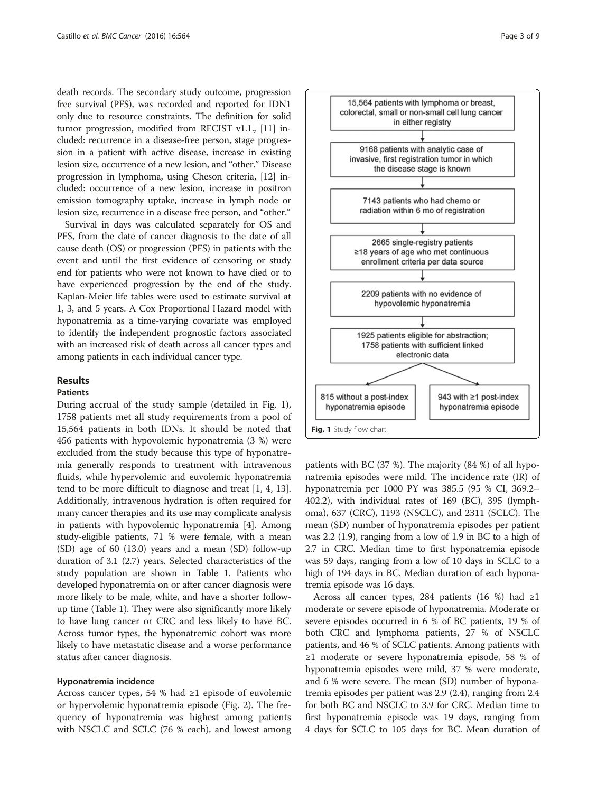death records. The secondary study outcome, progression free survival (PFS), was recorded and reported for IDN1 only due to resource constraints. The definition for solid tumor progression, modified from RECIST v1.1., [[11](#page-7-0)] included: recurrence in a disease-free person, stage progression in a patient with active disease, increase in existing lesion size, occurrence of a new lesion, and "other." Disease progression in lymphoma, using Cheson criteria, [[12](#page-7-0)] included: occurrence of a new lesion, increase in positron emission tomography uptake, increase in lymph node or lesion size, recurrence in a disease free person, and "other."

Survival in days was calculated separately for OS and PFS, from the date of cancer diagnosis to the date of all cause death (OS) or progression (PFS) in patients with the event and until the first evidence of censoring or study end for patients who were not known to have died or to have experienced progression by the end of the study. Kaplan-Meier life tables were used to estimate survival at 1, 3, and 5 years. A Cox Proportional Hazard model with hyponatremia as a time-varying covariate was employed to identify the independent prognostic factors associated with an increased risk of death across all cancer types and among patients in each individual cancer type.

#### Results

#### Patients

During accrual of the study sample (detailed in Fig. 1), 1758 patients met all study requirements from a pool of 15,564 patients in both IDNs. It should be noted that 456 patients with hypovolemic hyponatremia (3 %) were excluded from the study because this type of hyponatremia generally responds to treatment with intravenous fluids, while hypervolemic and euvolemic hyponatremia tend to be more difficult to diagnose and treat [[1, 4](#page-7-0), [13](#page-7-0)]. Additionally, intravenous hydration is often required for many cancer therapies and its use may complicate analysis in patients with hypovolemic hyponatremia [[4\]](#page-7-0). Among study-eligible patients, 71 % were female, with a mean (SD) age of 60 (13.0) years and a mean (SD) follow-up duration of 3.1 (2.7) years. Selected characteristics of the study population are shown in Table [1](#page-3-0). Patients who developed hyponatremia on or after cancer diagnosis were more likely to be male, white, and have a shorter followup time (Table [1](#page-3-0)). They were also significantly more likely to have lung cancer or CRC and less likely to have BC. Across tumor types, the hyponatremic cohort was more likely to have metastatic disease and a worse performance status after cancer diagnosis.

#### Hyponatremia incidence

Across cancer types, 54 % had ≥1 episode of euvolemic or hypervolemic hyponatremia episode (Fig. [2\)](#page-4-0). The frequency of hyponatremia was highest among patients with NSCLC and SCLC (76 % each), and lowest among



patients with BC (37 %). The majority (84 %) of all hyponatremia episodes were mild. The incidence rate (IR) of hyponatremia per 1000 PY was 385.5 (95 % CI, 369.2– 402.2), with individual rates of 169 (BC), 395 (lymphoma), 637 (CRC), 1193 (NSCLC), and 2311 (SCLC). The mean (SD) number of hyponatremia episodes per patient was 2.2 (1.9), ranging from a low of 1.9 in BC to a high of 2.7 in CRC. Median time to first hyponatremia episode was 59 days, ranging from a low of 10 days in SCLC to a high of 194 days in BC. Median duration of each hyponatremia episode was 16 days.

Across all cancer types, 284 patients (16 %) had  $\geq$ 1 moderate or severe episode of hyponatremia. Moderate or severe episodes occurred in 6 % of BC patients, 19 % of both CRC and lymphoma patients, 27 % of NSCLC patients, and 46 % of SCLC patients. Among patients with ≥1 moderate or severe hyponatremia episode, 58 % of hyponatremia episodes were mild, 37 % were moderate, and 6 % were severe. The mean (SD) number of hyponatremia episodes per patient was 2.9 (2.4), ranging from 2.4 for both BC and NSCLC to 3.9 for CRC. Median time to first hyponatremia episode was 19 days, ranging from 4 days for SCLC to 105 days for BC. Mean duration of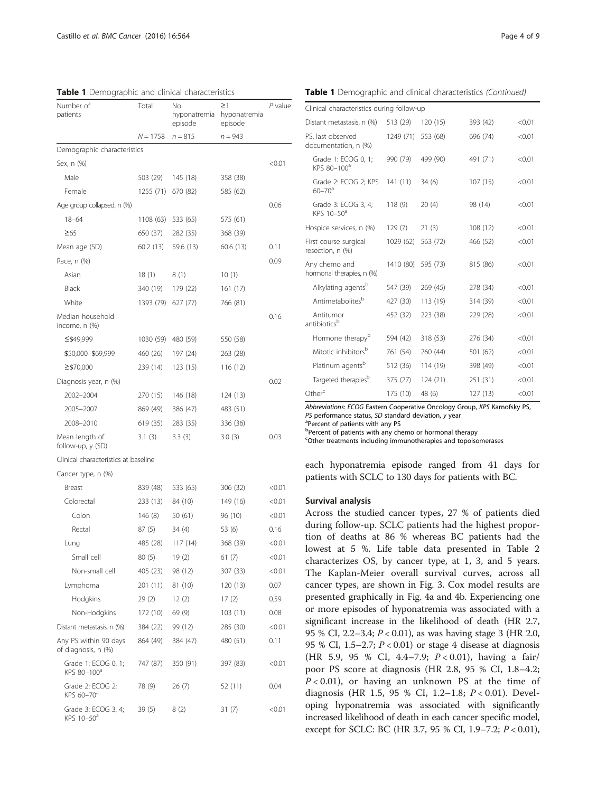| Number of<br>patients                          | Total      | No<br>hyponatremia<br>episode | $\geq$ 1<br>hyponatremia<br>episode | $P$ value |
|------------------------------------------------|------------|-------------------------------|-------------------------------------|-----------|
|                                                | $N = 1758$ | $n = 815$                     | $n = 943$                           |           |
| Demographic characteristics                    |            |                               |                                     |           |
| Sex, n (%)                                     |            |                               |                                     | <0.01     |
| Male                                           | 503 (29)   | 145 (18)                      | 358 (38)                            |           |
| Female                                         | 1255 (71)  | 670 (82)                      | 585 (62)                            |           |
| Age group collapsed, n (%)                     |            |                               |                                     | 0.06      |
| $18 - 64$                                      | 1108 (63)  | 533 (65)                      | 575 (61)                            |           |
| $\geq 65$                                      | 650 (37)   | 282 (35)                      | 368 (39)                            |           |
| Mean age (SD)                                  | 60.2 (13)  | 59.6 (13)                     | 60.6 (13)                           | 0.11      |
| Race, n (%)                                    |            |                               |                                     | 0.09      |
| Asian                                          | 18(1)      | 8 (1)                         | 10(1)                               |           |
| Black                                          | 340 (19)   | 179 (22)                      | 161 (17)                            |           |
| White                                          | 1393 (79)  | 627 (77)                      | 766 (81)                            |           |
| Median household<br>income, n (%)              |            |                               |                                     | 0.16      |
| ≤\$49,999                                      | 1030 (59)  | 480 (59)                      | 550 (58)                            |           |
| \$50,000-\$69,999                              | 460 (26)   | 197 (24)                      | 263 (28)                            |           |
| ≥\$70,000                                      | 239 (14)   | 123 (15)                      | 116 (12)                            |           |
| Diagnosis year, n (%)                          |            |                               |                                     | 0.02      |
| 2002-2004                                      | 270 (15)   | 146 (18)                      | 124 (13)                            |           |
| 2005-2007                                      | 869 (49)   | 386 (47)                      | 483 (51)                            |           |
| 2008-2010                                      | 619 (35)   | 283 (35)                      | 336 (36)                            |           |
| Mean length of<br>follow-up, y (SD)            | 3.1(3)     | 3.3(3)                        | 3.0(3)                              | 0.03      |
| Clinical characteristics at baseline           |            |                               |                                     |           |
| Cancer type, n (%)                             |            |                               |                                     |           |
| Breast                                         | 839 (48)   | 533 (65)                      | 306 (32)                            | < 0.01    |
| Colorectal                                     | 233 (13)   | 84 (10)                       | 149 (16)                            | < 0.01    |
| Colon                                          | 146 (8)    | 50 (61)                       | 96 (10)                             | <0.01     |
| Rectal                                         | 87 (5)     | 34(4)                         | 53 (6)                              | 0.16      |
| Lung                                           | 485 (28)   | 117(14)                       | 368 (39)                            | < 0.01    |
| Small cell                                     | 80 (5)     | 19(2)                         | 61 (7)                              | < 0.01    |
| Non-small cell                                 | 405 (23)   | 98 (12)                       | 307 (33)                            | < 0.01    |
| Lymphoma                                       | 201 (11)   | 81 (10)                       | 120 (13)                            | 0.07      |
| Hodgkins                                       | 29(2)      | 12(2)                         | 17(2)                               | 0.59      |
| Non-Hodgkins                                   | 172 (10)   | 69 (9)                        | 103(11)                             | 0.08      |
| Distant metastasis, n (%)                      | 384 (22)   | 99 (12)                       | 285 (30)                            | < 0.01    |
| Any PS within 90 days<br>of diagnosis, n (%)   | 864 (49)   | 384 (47)                      | 480 (51)                            | 0.11      |
| Grade 1: ECOG 0, 1;<br>KPS 80-100 <sup>a</sup> | 747 (87)   | 350 (91)                      | 397 (83)                            | < 0.01    |
| Grade 2: ECOG 2;<br>KPS 60-70 <sup>a</sup>     | 78 (9)     | 26(7)                         | 52 (11)                             | 0.04      |
| Grade 3: ECOG 3, 4;<br>KPS 10-50 <sup>a</sup>  | 39 (5)     | 8 (2)                         | 31 (7)                              | <0.01     |

<span id="page-3-0"></span>

|  | Table 1 Demographic and clinical characteristics (Continued) |  |
|--|--------------------------------------------------------------|--|
|  |                                                              |  |

| Clinical characteristics during follow-up       |           |          |          |        |
|-------------------------------------------------|-----------|----------|----------|--------|
| Distant metastasis, n (%)                       | 513 (29)  | 120 (15) | 393 (42) | < 0.01 |
| PS, last observed<br>documentation, n (%)       | 1249 (71) | 553 (68) | 696 (74) | < 0.01 |
| Grade 1: ECOG 0, 1;<br>KPS 80-100 <sup>a</sup>  | 990 (79)  | 499 (90) | 491 (71) | < 0.01 |
| Grade 2: ECOG 2; KPS<br>$60 - 70$ <sup>a</sup>  | 141(11)   | 34(6)    | 107 (15) | < 0.01 |
| Grade 3: ECOG 3, 4;<br>KPS $10-50$ <sup>a</sup> | 118(9)    | 20(4)    | 98 (14)  | < 0.01 |
| Hospice services, n (%)                         | 129(7)    | 21(3)    | 108 (12) | < 0.01 |
| First course surgical<br>resection, n (%)       | 1029 (62) | 563 (72) | 466 (52) | < 0.01 |
| Any chemo and<br>hormonal therapies, n (%)      | 1410 (80) | 595 (73) | 815 (86) | < 0.01 |
| Alkylating agents <sup>b</sup>                  | 547 (39)  | 269 (45) | 278 (34) | < 0.01 |
| Antimetabolites <sup>b</sup>                    | 427 (30)  | 113 (19) | 314 (39) | < 0.01 |
| Antitumor<br>antibioticsb                       | 452 (32)  | 223 (38) | 229 (28) | < 0.01 |
| Hormone therapy <sup>b</sup>                    | 594 (42)  | 318 (53) | 276 (34) | < 0.01 |
| Mitotic inhibitors <sup>b</sup>                 | 761 (54)  | 260 (44) | 501 (62) | < 0.01 |
| Platinum agents <sup>b</sup>                    | 512 (36)  | 114 (19) | 398 (49) | < 0.01 |
| Targeted therapies <sup>b</sup>                 | 375 (27)  | 124 (21) | 251 (31) | < 0.01 |
| Other <sup>c</sup>                              | 175 (10)  | 48 (6)   | 127(13)  | < 0.01 |

Abbreviations: ECOG Eastern Cooperative Oncology Group, KPS Karnofsky PS, PS performance status, SD standard deviation, y year

<sup>a</sup>Percent of patients with any PS

bPercent of patients with any chemo or hormonal therapy

<sup>c</sup>Other treatments including immunotherapies and topoisomerases

each hyponatremia episode ranged from 41 days for patients with SCLC to 130 days for patients with BC.

#### Survival analysis

Across the studied cancer types, 27 % of patients died during follow-up. SCLC patients had the highest proportion of deaths at 86 % whereas BC patients had the lowest at 5 %. Life table data presented in Table [2](#page-4-0) characterizes OS, by cancer type, at 1, 3, and 5 years. The Kaplan-Meier overall survival curves, across all cancer types, are shown in Fig. [3.](#page-5-0) Cox model results are presented graphically in Fig. [4a](#page-5-0) and [4b.](#page-5-0) Experiencing one or more episodes of hyponatremia was associated with a significant increase in the likelihood of death (HR 2.7, 95 % CI, 2.2–3.4; P < 0.01), as was having stage 3 (HR 2.0, 95 % CI, 1.5–2.7;  $P < 0.01$ ) or stage 4 disease at diagnosis (HR 5.9, 95 % CI, 4.4-7.9; P < 0.01), having a fair/ poor PS score at diagnosis (HR 2.8, 95 % CI, 1.8–4.2;  $P < 0.01$ ), or having an unknown PS at the time of diagnosis (HR 1.5, 95 % CI, 1.2-1.8; *P* < 0.01). Developing hyponatremia was associated with significantly increased likelihood of death in each cancer specific model, except for SCLC: BC (HR 3.7, 95 % CI, 1.9–7.2; P < 0.01),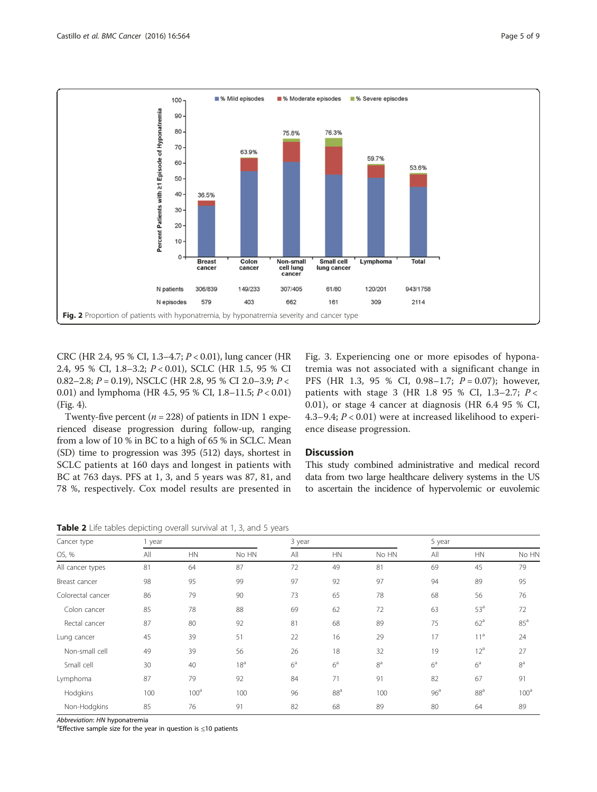<span id="page-4-0"></span>

CRC (HR 2.4, 95 % CI, 1.3–4.7; P < 0.01), lung cancer (HR 2.4, 95 % CI, 1.8–3.2; P < 0.01), SCLC (HR 1.5, 95 % CI 0.82–2.8;  $P = 0.19$ ), NSCLC (HR 2.8, 95 % CI 2.0–3.9;  $P <$ 0.01) and lymphoma (HR 4.5, 95 % CI, 1.8–11.5; P < 0.01) (Fig. [4](#page-5-0)).

Twenty-five percent ( $n = 228$ ) of patients in IDN 1 experienced disease progression during follow-up, ranging from a low of 10 % in BC to a high of 65 % in SCLC. Mean (SD) time to progression was 395 (512) days, shortest in SCLC patients at 160 days and longest in patients with BC at 763 days. PFS at 1, 3, and 5 years was 87, 81, and 78 %, respectively. Cox model results are presented in Fig. [3.](#page-5-0) Experiencing one or more episodes of hyponatremia was not associated with a significant change in PFS (HR 1.3, 95 % CI, 0.98–1.7;  $P = 0.07$ ); however, patients with stage 3 (HR 1.8 95 % CI, 1.3-2.7;  $P <$ 0.01), or stage 4 cancer at diagnosis (HR 6.4 95 % CI, 4.3–9.4; P < 0.01) were at increased likelihood to experience disease progression.

#### **Discussion**

This study combined administrative and medical record data from two large healthcare delivery systems in the US to ascertain the incidence of hypervolemic or euvolemic

| Cancer type<br>OS, % | 1 year |                  |                 |                | 3 year          |                |                 | 5 year          |                  |  |
|----------------------|--------|------------------|-----------------|----------------|-----------------|----------------|-----------------|-----------------|------------------|--|
|                      | All    | HN               | No HN           | All            | <b>HN</b>       | No HN          | All             | <b>HN</b>       | No HN            |  |
| All cancer types     | 81     | 64               | 87              | 72             | 49              | 81             | 69              | 45              | 79               |  |
| Breast cancer        | 98     | 95               | 99              | 97             | 92              | 97             | 94              | 89              | 95               |  |
| Colorectal cancer    | 86     | 79               | 90              | 73             | 65              | 78             | 68              | 56              | 76               |  |
| Colon cancer         | 85     | 78               | 88              | 69             | 62              | 72             | 63              | 53 <sup>a</sup> | 72               |  |
| Rectal cancer        | 87     | 80               | 92              | 81             | 68              | 89             | 75              | 62 <sup>a</sup> | $85^{\circ}$     |  |
| Lung cancer          | 45     | 39               | 51              | 22             | 16              | 29             | 17              | 11 <sup>a</sup> | 24               |  |
| Non-small cell       | 49     | 39               | 56              | 26             | 18              | 32             | 19              | 12 <sup>a</sup> | 27               |  |
| Small cell           | 30     | 40               | 18 <sup>a</sup> | 6 <sup>a</sup> | 6 <sup>a</sup>  | 8 <sup>a</sup> | 6 <sup>a</sup>  | 6 <sup>a</sup>  | 8 <sup>a</sup>   |  |
| Lymphoma             | 87     | 79               | 92              | 84             | 71              | 91             | 82              | 67              | 91               |  |
| Hodgkins             | 100    | 100 <sup>a</sup> | 100             | 96             | 88 <sup>a</sup> | 100            | 96 <sup>a</sup> | 88 <sup>a</sup> | 100 <sup>a</sup> |  |
| Non-Hodgkins         | 85     | 76               | 91              | 82             | 68              | 89             | 80              | 64              | 89               |  |

Abbreviation: HN hyponatremia

<sup>a</sup> Effective sample size for the year in question is  $\leq$  10 patients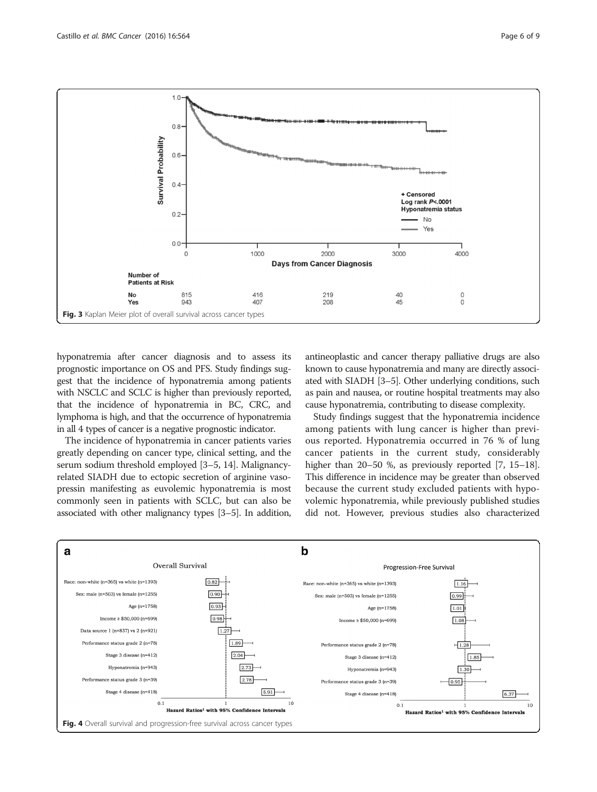<span id="page-5-0"></span>

hyponatremia after cancer diagnosis and to assess its prognostic importance on OS and PFS. Study findings suggest that the incidence of hyponatremia among patients with NSCLC and SCLC is higher than previously reported, that the incidence of hyponatremia in BC, CRC, and lymphoma is high, and that the occurrence of hyponatremia in all 4 types of cancer is a negative prognostic indicator.

The incidence of hyponatremia in cancer patients varies greatly depending on cancer type, clinical setting, and the serum sodium threshold employed [\[3](#page-7-0)–[5, 14](#page-7-0)]. Malignancyrelated SIADH due to ectopic secretion of arginine vasopressin manifesting as euvolemic hyponatremia is most commonly seen in patients with SCLC, but can also be associated with other malignancy types [\[3](#page-7-0)–[5\]](#page-7-0). In addition, antineoplastic and cancer therapy palliative drugs are also known to cause hyponatremia and many are directly associated with SIADH [[3](#page-7-0)–[5\]](#page-7-0). Other underlying conditions, such as pain and nausea, or routine hospital treatments may also cause hyponatremia, contributing to disease complexity.

Study findings suggest that the hyponatremia incidence among patients with lung cancer is higher than previous reported. Hyponatremia occurred in 76 % of lung cancer patients in the current study, considerably higher than 20–50 %, as previously reported [\[7](#page-7-0), [15](#page-7-0)–[18](#page-7-0)]. This difference in incidence may be greater than observed because the current study excluded patients with hypovolemic hyponatremia, while previously published studies did not. However, previous studies also characterized

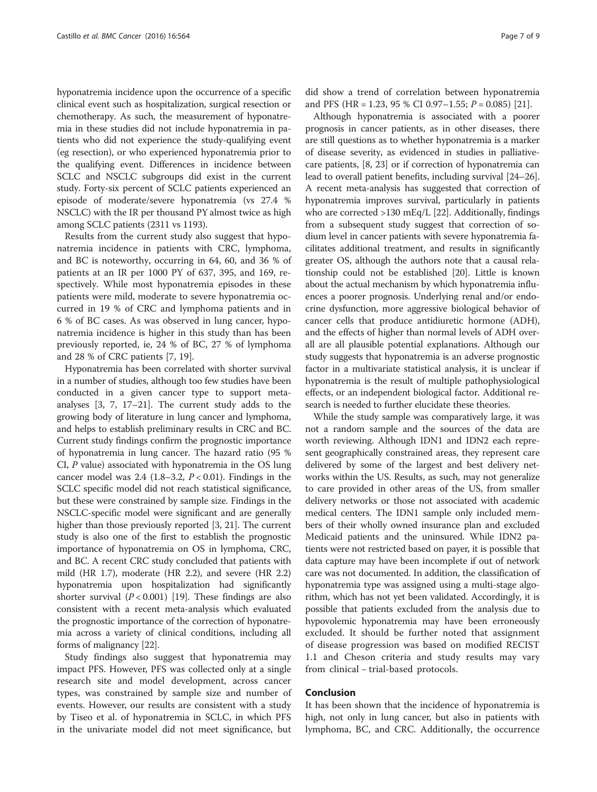hyponatremia incidence upon the occurrence of a specific clinical event such as hospitalization, surgical resection or chemotherapy. As such, the measurement of hyponatremia in these studies did not include hyponatremia in patients who did not experience the study-qualifying event (eg resection), or who experienced hyponatremia prior to the qualifying event. Differences in incidence between SCLC and NSCLC subgroups did exist in the current study. Forty-six percent of SCLC patients experienced an episode of moderate/severe hyponatremia (vs 27.4 % NSCLC) with the IR per thousand PY almost twice as high among SCLC patients (2311 vs 1193).

Results from the current study also suggest that hyponatremia incidence in patients with CRC, lymphoma, and BC is noteworthy, occurring in 64, 60, and 36 % of patients at an IR per 1000 PY of 637, 395, and 169, respectively. While most hyponatremia episodes in these patients were mild, moderate to severe hyponatremia occurred in 19 % of CRC and lymphoma patients and in 6 % of BC cases. As was observed in lung cancer, hyponatremia incidence is higher in this study than has been previously reported, ie, 24 % of BC, 27 % of lymphoma and 28 % of CRC patients [[7, 19\]](#page-7-0).

Hyponatremia has been correlated with shorter survival in a number of studies, although too few studies have been conducted in a given cancer type to support metaanalyses [[3](#page-7-0), [7, 17](#page-7-0)–[21](#page-7-0)]. The current study adds to the growing body of literature in lung cancer and lymphoma, and helps to establish preliminary results in CRC and BC. Current study findings confirm the prognostic importance of hyponatremia in lung cancer. The hazard ratio (95 % CI, P value) associated with hyponatremia in the OS lung cancer model was  $2.4$  (1.8–3.2,  $P < 0.01$ ). Findings in the SCLC specific model did not reach statistical significance, but these were constrained by sample size. Findings in the NSCLC-specific model were significant and are generally higher than those previously reported [\[3](#page-7-0), [21\]](#page-7-0). The current study is also one of the first to establish the prognostic importance of hyponatremia on OS in lymphoma, CRC, and BC. A recent CRC study concluded that patients with mild (HR 1.7), moderate (HR 2.2), and severe (HR 2.2) hyponatremia upon hospitalization had significantly shorter survival  $(P < 0.001)$  [[19](#page-7-0)]. These findings are also consistent with a recent meta-analysis which evaluated the prognostic importance of the correction of hyponatremia across a variety of clinical conditions, including all forms of malignancy [\[22\]](#page-7-0).

Study findings also suggest that hyponatremia may impact PFS. However, PFS was collected only at a single research site and model development, across cancer types, was constrained by sample size and number of events. However, our results are consistent with a study by Tiseo et al. of hyponatremia in SCLC, in which PFS in the univariate model did not meet significance, but

did show a trend of correlation between hyponatremia and PFS (HR = 1.23, 95 % CI 0.97–1.55;  $P = 0.085$ ) [\[21\]](#page-7-0).

Although hyponatremia is associated with a poorer prognosis in cancer patients, as in other diseases, there are still questions as to whether hyponatremia is a marker of disease severity, as evidenced in studies in palliativecare patients, [\[8](#page-7-0), [23](#page-8-0)] or if correction of hyponatremia can lead to overall patient benefits, including survival [\[24](#page-8-0)–[26](#page-8-0)]. A recent meta-analysis has suggested that correction of hyponatremia improves survival, particularly in patients who are corrected >130 mEq/L [\[22](#page-7-0)]. Additionally, findings from a subsequent study suggest that correction of sodium level in cancer patients with severe hyponatremia facilitates additional treatment, and results in significantly greater OS, although the authors note that a causal relationship could not be established [\[20\]](#page-7-0). Little is known about the actual mechanism by which hyponatremia influences a poorer prognosis. Underlying renal and/or endocrine dysfunction, more aggressive biological behavior of cancer cells that produce antidiuretic hormone (ADH), and the effects of higher than normal levels of ADH overall are all plausible potential explanations. Although our study suggests that hyponatremia is an adverse prognostic factor in a multivariate statistical analysis, it is unclear if hyponatremia is the result of multiple pathophysiological effects, or an independent biological factor. Additional research is needed to further elucidate these theories.

While the study sample was comparatively large, it was not a random sample and the sources of the data are worth reviewing. Although IDN1 and IDN2 each represent geographically constrained areas, they represent care delivered by some of the largest and best delivery networks within the US. Results, as such, may not generalize to care provided in other areas of the US, from smaller delivery networks or those not associated with academic medical centers. The IDN1 sample only included members of their wholly owned insurance plan and excluded Medicaid patients and the uninsured. While IDN2 patients were not restricted based on payer, it is possible that data capture may have been incomplete if out of network care was not documented. In addition, the classification of hyponatremia type was assigned using a multi-stage algorithm, which has not yet been validated. Accordingly, it is possible that patients excluded from the analysis due to hypovolemic hyponatremia may have been erroneously excluded. It should be further noted that assignment of disease progression was based on modified RECIST 1.1 and Cheson criteria and study results may vary from clinical – trial-based protocols.

#### Conclusion

It has been shown that the incidence of hyponatremia is high, not only in lung cancer, but also in patients with lymphoma, BC, and CRC. Additionally, the occurrence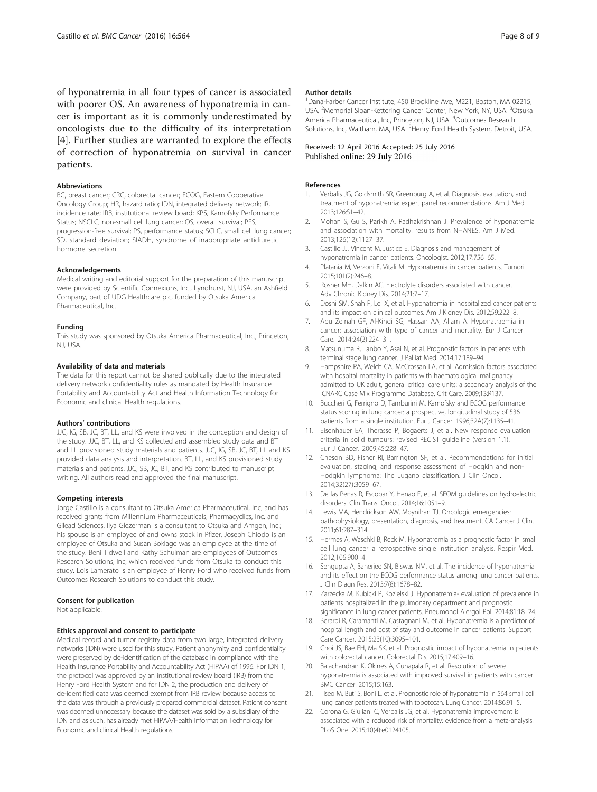<span id="page-7-0"></span>of hyponatremia in all four types of cancer is associated with poorer OS. An awareness of hyponatremia in cancer is important as it is commonly underestimated by oncologists due to the difficulty of its interpretation [4]. Further studies are warranted to explore the effects of correction of hyponatremia on survival in cancer patients.

#### Abbreviations

BC, breast cancer; CRC, colorectal cancer; ECOG, Eastern Cooperative Oncology Group; HR, hazard ratio; IDN, integrated delivery network; IR, incidence rate; IRB, institutional review board; KPS, Karnofsky Performance Status; NSCLC, non-small cell lung cancer; OS, overall survival; PFS, progression-free survival; PS, performance status; SCLC, small cell lung cancer; SD, standard deviation; SIADH, syndrome of inappropriate antidiuretic hormone secretion

#### Acknowledgements

Medical writing and editorial support for the preparation of this manuscript were provided by Scientific Connexions, Inc., Lyndhurst, NJ, USA, an Ashfield Company, part of UDG Healthcare plc, funded by Otsuka America Pharmaceutical, Inc.

#### Funding

This study was sponsored by Otsuka America Pharmaceutical, Inc., Princeton, NJ, USA.

#### Availability of data and materials

The data for this report cannot be shared publically due to the integrated delivery network confidentiality rules as mandated by Health Insurance Portability and Accountability Act and Health Information Technology for Economic and clinical Health regulations.

#### Authors' contributions

JJC, IG, SB, JC, BT, LL, and KS were involved in the conception and design of the study. JJC, BT, LL, and KS collected and assembled study data and BT and LL provisioned study materials and patients. JJC, IG, SB, JC, BT, LL and KS provided data analysis and interpretation. BT, LL, and KS provisioned study materials and patients. JJC, SB, JC, BT, and KS contributed to manuscript writing. All authors read and approved the final manuscript.

#### Competing interests

Jorge Castillo is a consultant to Otsuka America Pharmaceutical, Inc, and has received grants from Millennium Pharmaceuticals, Pharmacyclics, Inc. and Gilead Sciences. Ilya Glezerman is a consultant to Otsuka and Amgen, Inc.; his spouse is an employee of and owns stock in Pfizer. Joseph Chiodo is an employee of Otsuka and Susan Boklage was an employee at the time of the study. Beni Tidwell and Kathy Schulman are employees of Outcomes Research Solutions, Inc, which received funds from Otsuka to conduct this study. Lois Lamerato is an employee of Henry Ford who received funds from Outcomes Research Solutions to conduct this study.

#### Consent for publication

Not applicable.

#### Ethics approval and consent to participate

Medical record and tumor registry data from two large, integrated delivery networks (IDN) were used for this study. Patient anonymity and confidentiality were preserved by de-identification of the database in compliance with the Health Insurance Portability and Accountability Act (HIPAA) of 1996. For IDN 1, the protocol was approved by an institutional review board (IRB) from the Henry Ford Health System and for IDN 2, the production and delivery of de-identified data was deemed exempt from IRB review because access to the data was through a previously prepared commercial dataset. Patient consent was deemed unnecessary because the dataset was sold by a subsidiary of the IDN and as such, has already met HIPAA/Health Information Technology for Economic and clinical Health regulations.

#### Author details

<sup>1</sup>Dana-Farber Cancer Institute, 450 Brookline Ave, M221, Boston, MA 02215 USA. <sup>2</sup>Memorial Sloan-Kettering Cancer Center, New York, NY, USA. <sup>3</sup>Otsuka America Pharmaceutical, Inc, Princeton, NJ, USA. <sup>4</sup>Outcomes Research Solutions, Inc, Waltham, MA, USA. <sup>5</sup> Henry Ford Health System, Detroit, USA.

#### Received: 12 April 2016 Accepted: 25 July 2016 Published online: 29 July 2016

#### References

- Verbalis JG, Goldsmith SR, Greenburg A, et al. Diagnosis, evaluation, and treatment of hyponatremia: expert panel recommendations. Am J Med. 2013;126:S1–42.
- 2. Mohan S, Gu S, Parikh A, Radhakrishnan J. Prevalence of hyponatremia and association with mortality: results from NHANES. Am J Med. 2013;126(12):1127–37.
- 3. Castillo JJ, Vincent M, Justice E. Diagnosis and management of hyponatremia in cancer patients. Oncologist. 2012;17:756–65.
- 4. Platania M, Verzoni E, Vitali M. Hyponatremia in cancer patients. Tumori. 2015;101(2):246–8.
- 5. Rosner MH, Dalkin AC. Electrolyte disorders associated with cancer. Adv Chronic Kidney Dis. 2014;21:7–17.
- 6. Doshi SM, Shah P, Lei X, et al. Hyponatremia in hospitalized cancer patients and its impact on clinical outcomes. Am J Kidney Dis. 2012;59:222–8.
- 7. Abu Zeinah GF, Al-Kindi SG, Hassan AA, Allam A. Hyponatraemia in cancer: association with type of cancer and mortality. Eur J Cancer Care. 2014;24(2):224–31.
- 8. Matsunuma R, Tanbo Y, Asai N, et al. Prognostic factors in patients with terminal stage lung cancer. J Palliat Med. 2014;17:189–94.
- 9. Hampshire PA, Welch CA, McCrossan LA, et al. Admission factors associated with hospital mortality in patients with haematological malignancy admitted to UK adult, general critical care units: a secondary analysis of the ICNARC Case Mix Programme Database. Crit Care. 2009;13:R137.
- 10. Buccheri G, Ferrigno D, Tamburini M. Karnofsky and ECOG performance status scoring in lung cancer: a prospective, longitudinal study of 536 patients from a single institution. Eur J Cancer. 1996;32A(7):1135–41.
- 11. Eisenhauer EA, Therasse P, Bogaerts J, et al. New response evaluation criteria in solid tumours: revised RECIST guideline (version 1.1). Eur J Cancer. 2009;45:228–47.
- 12. Cheson BD, Fisher RI, Barrington SF, et al. Recommendations for initial evaluation, staging, and response assessment of Hodgkin and non-Hodgkin lymphoma: The Lugano classification. J Clin Oncol. 2014;32(27):3059–67.
- 13. De las Penas R, Escobar Y, Henao F, et al. SEOM guidelines on hydroelectric disorders. Clin Transl Oncol. 2014;16:1051–9.
- 14. Lewis MA, Hendrickson AW, Moynihan TJ. Oncologic emergencies: pathophysiology, presentation, diagnosis, and treatment. CA Cancer J Clin. 2011;61:287–314.
- 15. Hermes A, Waschki B, Reck M. Hyponatremia as a prognostic factor in small cell lung cancer–a retrospective single institution analysis. Respir Med. 2012;106:900–4.
- 16. Sengupta A, Banerjee SN, Biswas NM, et al. The incidence of hyponatremia and its effect on the ECOG performance status among lung cancer patients. J Clin Diagn Res. 2013;7(8):1678–82.
- 17. Zarzecka M, Kubicki P, Kozielski J. Hyponatremia- evaluation of prevalence in patients hospitalized in the pulmonary department and prognostic significance in lung cancer patients. Pneumonol Alergol Pol. 2014;81:18–24.
- 18. Berardi R, Caramanti M, Castagnani M, et al. Hyponatremia is a predictor of hospital length and cost of stay and outcome in cancer patients. Support Care Cancer. 2015;23(10):3095–101.
- 19. Choi JS, Bae EH, Ma SK, et al. Prognostic impact of hyponatremia in patients with colorectal cancer. Colorectal Dis. 2015;17:409–16.
- 20. Balachandran K, Okines A, Gunapala R, et al. Resolution of severe hyponatremia is associated with improved survival in patients with cancer. BMC Cancer. 2015;15:163.
- 21. Tiseo M, Buti S, Boni L, et al. Prognostic role of hyponatremia in 564 small cell lung cancer patients treated with topotecan. Lung Cancer. 2014;86:91–5.
- 22. Corona G, Giuliani C, Verbalis JG, et al. Hyponatremia improvement is associated with a reduced risk of mortality: evidence from a meta-analysis. PLoS One. 2015;10(4):e0124105.